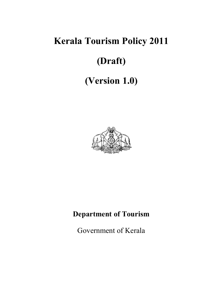# **Kerala Tourism Policy 2011 (Draft) (Version 1.0)**



## **Department of Tourism**

Government of Kerala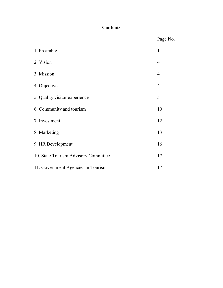## **Contents**

Page No.

| 1. Preamble                          | 1              |
|--------------------------------------|----------------|
| 2. Vision                            | $\overline{4}$ |
| 3. Mission                           | $\overline{4}$ |
| 4. Objectives                        | $\overline{4}$ |
| 5. Quality visitor experience        | 5              |
| 6. Community and tourism             | 10             |
| 7. Investment                        | 12             |
| 8. Marketing                         | 13             |
| 9. HR Development                    | 16             |
| 10. State Tourism Advisory Committee | 17             |
| 11. Government Agencies in Tourism   | 17             |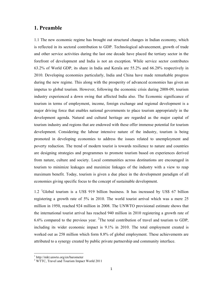## **1. Preamble**

1.1 The new economic regime has brought out structural changes in Indian economy, which is reflected in its sectoral contribution to GDP. Technological advancement, growth of trade and other service activities during the last one decade have placed the tertiary sector in the forefront of development and India is not an exception. While service sector contributes 63.2% of World GDP, its share in India and Kerala are 55.2% and 66.28% respectively in 2010. Developing economies particularly, India and China have made remarkable progress during the new regime. This along with the prosperity of advanced economies has given an impetus to global tourism. However, following the economic crisis during 2008-09, tourism industry experienced a down swing that affected India also. The Economic significance of tourism in terms of employment, income, foreign exchange and regional development is a major driving force that enables national governments to place tourism appropriately in the development agenda. Natural and cultural heritage are regarded as the major capital of tourism industry and regions that are endowed with these offer immense potential for tourism development. Considering the labour intensive nature of the industry, tourism is being promoted in developing economies to address the issues related to unemployment and poverty reduction. The trend of modern tourist is towards resilience to nature and countries are designing strategies and programmes to promote tourism based on experiences derived from nature, culture and society. Local communities across destinations are encouraged in tourism to minimize leakages and maximize linkages of the industry with a view to reap maximum benefit. Today, tourism is given a due place in the development paradigm of all economies giving specific focus to the concept of sustainable development.

1.2 <sup>1</sup>Global tourism is a US\$ 919 billion business. It has increased by US\$ 67 billion registering a growth rate of 5% in 2010. The world tourist arrival which was a mere 25 million in 1950, reached 924 million in 2008. The UNWTO provisional estimate shows that the international tourist arrival has reached 940 million in 2010 registering a growth rate of 6.6% compared to the previous year. <sup>2</sup>The total contribution of travel and tourism to GDP, including its wider economic impact is 9.1% in 2010. The total employment created is worked out as 258 million which form 8.8% of global employment. These achievements are attributed to a synergy created by public private partnership and community interface.

<u>.</u>

<sup>1</sup> http://mkt.unwto.org/en/barometer

<sup>&</sup>lt;sup>2</sup> WTTC, Travel and Tourism Impact World 2011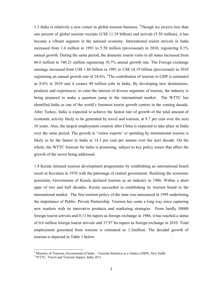1.3 India is relatively a new comer in global tourism business. <sup>3</sup>Though we receive less than one percent of global tourism receipts (US\$ 11.39 billion) and arrivals (5.58 million), it has become a vibrant segment in the national economy. International tourist arrivals in India increased from 1.6 million in 1991 to 5.58 million (provisional) in 2010, registering 8.1% annual growth. During the same period, the domestic tourist visits to all states increased from 66.6 million to 740.21 million registering 10.7% annual growth rate. The Foreign exchange earnings increased from US\$ 1.86 billion in 1991 to US\$ 14.19 billion (provisional) in 2010 registering an annual growth rate of 24.6%.  $^{4}$ The contribution of tourism to GDP is estimated as 8.6% in 2010 and it creates 49 million jobs in India. By developing new destinations, products and experiences, to cater the interest of diverse segments of tourists, the industry is being prepared to make a quantum jump in the international market. The WTTC has identified India as one of the world's foremost tourist growth centres in the coming decade. After Turkey, India is expected to achieve the fastest rate of growth of the total amount of economic activity likely to be generated by travel and tourism, at 9.7 per cent over the next 10 years. Also, the largest employment creation after China is expected to take place in India over the same period. The growth in 'visitor exports' or spending by international tourists is likely to be the fastest in India at 14.3 per cent per annum over the next decade. On the whole, the WTTC forecast for India is promising, subject to key policy issues that affect the growth of the sector being addressed.

1.4 Kerala initiated tourism development programmes by establishing an international beach resort at Kovalam in 1976 with the patronage of central government. Realizing the economic potentials, Government of Kerala declared tourism as an industry in 1986. Within a short span of two and half decades, Kerala succeeded in establishing its tourism brand in the international market. The first tourism policy of the state was announced in 1995 underlining the importance of Public- Private Partnership. Tourism has come a long way since capturing new markets with its innovative products and marketing strategies. From hardly 50000 foreign tourist arrivals and 0.13 bn rupees as foreign exchange in 1986, it has reached a status of 0.6 million foreign tourist arrivals and 37.97 bn rupees as foreign exchange in 2010. Total employment generated from tourism is estimated as 1.2million. The decadal growth of tourism is depicted in Table 1 below:

<u>.</u>

<sup>&</sup>lt;sup>3</sup> Ministry of Tourism, Government of India – Tourism Statistics at a Glance (2009), New Delhi

<sup>4</sup> WTTC, Travel and Tourism Impact, India 2011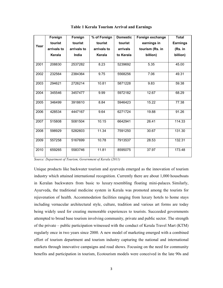|      | Foreign     | Foreign     | % of Foreign | <b>Domestic</b> | Foreign exchange | <b>Total</b>    |
|------|-------------|-------------|--------------|-----------------|------------------|-----------------|
| Year | tourist     | tourist     | tourist      | tourist         | earnings in      | <b>Earnings</b> |
|      | arrivals to | arrivals to | arrivals to  | arrivals        | tourism (Rs. in  | (Rs. in         |
|      | Kerala      | India       | Kerala       | to Kerala       | billion)         | billion)        |
|      |             |             |              |                 |                  |                 |
| 2001 | 208830      | 2537282     | 8.23         | 5239692         | 5.35             | 45.00           |
| 2002 | 232564      | 2384364     | 9.75         | 5568256         | 7.06             | 49.31           |
| 2003 | 294621      | 2726214     | 10.81        | 5871228         | 9.83             | 59.38           |
| 2004 | 345546      | 3457477     | 9.99         | 5972182         | 12.67            | 68.29           |
| 2005 | 346499      | 3918610     | 8.84         | 5946423         | 15.22            | 77.38           |
| 2006 | 428534      | 4447167     | 9.64         | 6271724         | 19.88            | 91.26           |
| 2007 | 515808      | 5081504     | 10.15        | 6642941         | 26.41            | 114.33          |
| 2008 | 598929      | 5282603     | 11.34        | 7591250         | 30.67            | 131.30          |
| 2009 | 557258      | 5167699     | 10.78        | 7913537         | 28.53            | 132.31          |
| 2010 | 659265      | 5583746     | 11.81        | 8595075         | 37.97            | 173.48          |

**Table 1 Kerala Tourism Arrival and Earnings** 

*Source: Department of Tourism, Government of Kerala (2011)* 

Unique products like backwater tourism and ayurveda emerged as the innovation of tourism industry which attained international recognition. Currently there are about 1,000 houseboats in Keralan backwaters from basic to luxury resembling floating mini-palaces. Similarly, Ayurveda, the traditional medicine system in Kerala was promoted among the tourists for rejuvenation of health. Accommodation facilities ranging from luxury hotels to home stays including vernacular architectural style, culture, tradition and various art forms are today being widely used for creating memorable experiences to tourists. Succeeded governments attempted to broad base tourism involving community, private and public sector. The strength of the private – public participation witnessed with the conduct of Kerala Travel Mart (KTM) regularly once in two years since 2000. A new model of marketing emerged with a combined effort of tourism department and tourism industry capturing the national and international markets through innovative campaigns and road shows. Focusing on the need for community benefits and participation in tourism, Ecotourism models were conceived in the late 90s and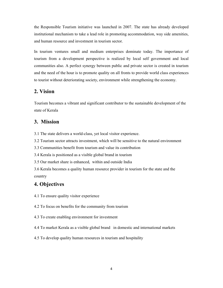the Responsible Tourism initiative was launched in 2007. The state has already developed institutional mechanism to take a lead role in promoting accommodation, way side amenities, and human resource and investment in tourism sector.

In tourism ventures small and medium enterprises dominate today. The importance of tourism from a development perspective is realized by local self government and local communities also. A perfect synergy between public and private sector is created in tourism and the need of the hour is to promote quality on all fronts to provide world class experiences to tourist without deteriorating society, environment while strengthening the economy.

## **2. Vision**

Tourism becomes a vibrant and significant contributor to the sustainable development of the state of Kerala

## **3. Mission**

3.1 The state delivers a world-class, yet local visitor experience.

3.2 Tourism sector attracts investment, which will be sensitive to the natural environment

3.3 Communities benefit from tourism and value its contribution

3.4 Kerala is positioned as a visible global brand in tourism

3.5 Our market share is enhanced, within and outside India

3.6 Kerala becomes a quality human resource provider in tourism for the state and the country

## **4. Objectives**

4.1 To ensure quality visitor experience

4.2 To focus on benefits for the community from tourism

4.3 To create enabling environment for investment

4.4 To market Kerala as a visible global brand in domestic and international markets

4.5 To develop quality human resources in tourism and hospitality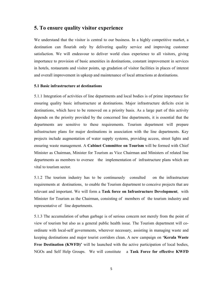## **5. To ensure quality visitor experience**

We understand that the visitor is central to our business. In a highly competitive market, a destination can flourish only by delivering quality service and improving customer satisfaction. We will endeavour to deliver world class experience to all visitors, giving importance to provision of basic amenities in destinations, constant improvement in services in hotels, restaurants and visitor points, up gradation of visitor facilities in places of interest and overall improvement in upkeep and maintenance of local attractions at destinations.

#### **5.1 Basic infrastructure at destinations**

5.1.1 Integration of activities of line departments and local bodies is of prime importance for ensuring quality basic infrastructure at destinations. Major infrastructure deficits exist in destinations, which have to be removed on a priority basis. As a large part of this activity depends on the priority provided by the concerned line departments, it is essential that the departments are sensitive to these requirements. Tourism department will prepare infrastructure plans for major destinations in association with the line departments. Key projects include augmentation of water supply systems, providing access, street lights and ensuring waste management. A **Cabinet Committee on Tourism** will be formed with Chief Minister as Chairman, Minister for Tourism as Vice Chairman and Ministers of related line departments as members to oversee the implementation of infrastructure plans which are vital to tourism sector.

5.1.2 The tourism industry has to be continuously consulted on the infrastructure requirements at destinations, to enable the Tourism department to conceive projects that are relevant and important. We will form a **Task force on Infrastructure Development**, with Minister for Tourism as the Chairman, consisting of members of the tourism industry and representative of line departments.

5.1.3 The accumulation of urban garbage is of serious concern not merely from the point of view of tourism but also as a general public health issue. The Tourism department will coordinate with local-self governments, wherever necessary, assisting in managing waste and keeping destinations and major tourist corridors clean. A new campaign on **'Kerala Waste Free Destination (KWFD)'** will be launched with the active participation of local bodies, NGOs and Self Help Groups. We will constitute a **Task Force for effective KWFD**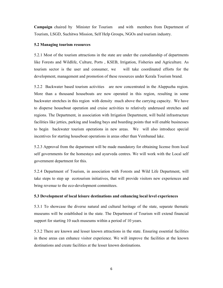**Campaign** chaired by Minister for Tourism and with members from Department of Tourism, LSGD, Suchitwa Mission, Self Help Groups, NGOs and tourism industry.

#### **5.2 Managing tourism resources**

5.2.1 Most of the tourism attractions in the state are under the custodianship of departments like Forests and Wildlife, Culture, Ports , KSEB, Irrigation, Fisheries and Agriculture. As tourism sector is the user and consumer, we will take coordinated efforts for the development, management and promotion of these resources under Kerala Tourism brand.

5.2.2 Backwater based tourism activities are now concentrated in the Alappuzha region. More than a thousand houseboats are now operated in this region, resulting in some backwater stretches in this region with density much above the carrying capacity. We have to disperse houseboat operation and cruise activities to relatively underused stretches and regions. The Department, in association with Irrigation Department, will build infrastructure facilities like jetties, parking and loading bays and boarding points that will enable businesses to begin backwater tourism operations in new areas. We will also introduce special incentives for starting houseboat operations in areas other than Vembanad lake.

5.2.3 Approval from the department will be made mandatory for obtaining license from local self governments for the homestays and ayurveda centres. We will work with the Local self government department for this.

5.2.4 Department of Tourism, in association with Forests and Wild Life Department, will take steps to step up ecotourism initiatives, that will provide visitors new experiences and bring revenue to the eco-development committees.

#### **5.3 Development of local leisure destinations and enhancing local level experiences**

5.3.1 To showcase the diverse natural and cultural heritage of the state, separate thematic museums will be established in the state. The Department of Tourism will extend financial support for starting 10 such museums within a period of 10 years.

5.3.2 There are known and lesser known attractions in the state. Ensuring essential facilities in these areas can enhance visitor experience. We will improve the facilities at the known destinations and create facilities at the lesser known destinations.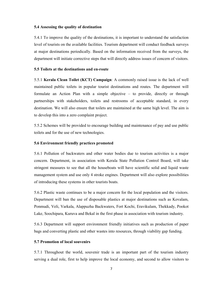#### **5.4 Assessing the quality of destination**

5.4.1 To improve the quality of the destinations, it is important to understand the satisfaction level of tourists on the available facilities. Tourism department will conduct feedback surveys at major destinations periodically. Based on the information received from the surveys, the department will initiate corrective steps that will directly address issues of concern of visitors.

#### **5.5 Toilets at the destinations and en-route**

5.5.1 **Kerala Clean Toilet (KCT) Campaign**: A commonly raised issue is the lack of well maintained public toilets in popular tourist destinations and routes. The department will formulate an Action Plan with a simple objective – to provide, directly or through partnerships with stakeholders, toilets and restrooms of acceptable standard, in every destination. We will also ensure that toilets are maintained at the same high level. The aim is to develop this into a zero complaint project.

5.5.2 Schemes will be provided to encourage building and maintenance of pay and use public toilets and for the use of new technologies.

#### **5.6 Environment friendly practices promoted**

5.6.1 Pollution of backwaters and other water bodies due to tourism activities is a major concern. Department, in association with Kerala State Pollution Control Board, will take stringent measures to see that all the houseboats will have scientific solid and liquid waste management system and use only 4 stroke engines. Department will also explore possibilities of introducing these systems in other tourists boats.

5.6.2 Plastic waste continues to be a major concern for the local population and the visitors. Department will ban the use of disposable plastics at major destinations such as Kovalam, Ponmudi, Veli, Varkala, Alappuzha Backwaters, Fort Kochi, Eravikulam, Thekkady, Pookot Lake, Soochipara, Kuruva and Bekal in the first phase in association with tourism industry.

5.6.3 Department will support environment friendly initiatives such as production of paper bags and converting plastic and other wastes into resources, through viability gap funding.

#### **5.7 Promotion of local souvenirs**

5.7.1 Throughout the world, souvenir trade is an important part of the tourism industry serving a dual role, first to help improve the local economy, and second to allow visitors to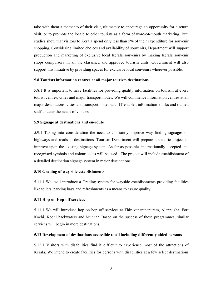take with them a memento of their visit, ultimately to encourage an opportunity for a return visit, or to promote the locale to other tourists as a form of word-of-mouth marketing. But, studies show that visitors to Kerala spend only less than 5% of their expenditure for souvenir shopping. Considering limited choices and availability of souvenirs, Department will support production and marketing of exclusive local Kerala souvenirs by making Kerala souvenir shops compulsory in all the classified and approved tourism units. Government will also support this initiative by providing spaces for exclusive local souvenirs wherever possible.

#### **5.8 Tourists information centres at all major tourism destinations**

5.8.1 It is important to have facilities for providing quality information on tourism at every tourist centres, cities and major transport nodes. We will commence information centres at all major destinations, cities and transport nodes with IT enabled information kiosks and trained staff to cater the needs of visitors.

#### **5.9 Signage at destinations and en-route**

5.9.1 Taking into consideration the need to constantly improve way finding signages on highways and roads to destinations, Tourism Department will prepare a specific project to improve upon the existing signage system. As far as possible, internationally accepted and recognised symbols and colour codes will be used. The project will include establishment of a detailed destination signage system in major destinations.

#### **5.10 Grading of way side establishments**

5.11.1 We will introduce a Grading system for wayside establishments providing facilities like toilets, parking bays and refreshments as a means to assure quality.

#### **5.11 Hop-on Hop-off services**

5.11.1 We will introduce hop on hop off services at Thiruvananthapuram, Alappuzha, Fort Kochi, Kochi backwaters and Munnar. Based on the success of these programmes, similar services will begin in more destinations.

#### **5.12 Development of destinations accessible to all including differently abled persons**

5.12.1 Visitors with disabilities find it difficult to experience most of the attractions of Kerala. We intend to create facilities for persons with disabilities at a few select destinations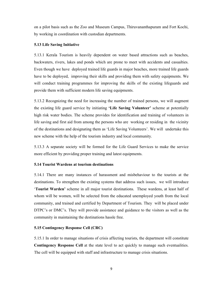on a pilot basis such as the Zoo and Museum Campus, Thiruvananthapuram and Fort Kochi, by working in coordination with custodian departments.

#### **5.13 Life Saving Initiative**

5.13.1 Kerala Tourism is heavily dependent on water based attractions such as beaches, backwaters, rivers, lakes and ponds which are prone to meet with accidents and casualties. Even though we have deployed trained life guards in major beaches, more trained life guards have to be deployed, improving their skills and providing them with safety equipments. We will conduct training programmes for improving the skills of the existing lifeguards and provide them with sufficient modern life saving equipments.

5.13.2 Recognizing the need for increasing the number of trained persons, we will augment the existing life guard service by initiating **'Life Saving Volunteer'** scheme at potentially high risk water bodies. The scheme provides for identification and training of volunteers in life saving and first aid from among the persons who are working or residing in the vicinity of the destinations and designating them as 'Life Saving Volunteers'. We will undertake this new scheme with the help of the tourism industry and local community.

5.13.3 A separate society will be formed for the Life Guard Services to make the service more efficient by providing proper training and latest equipments.

#### **5.14 Tourist Wardens at tourism destinations**

5.14.1 There are many instances of harassment and misbehaviour to the tourists at the destinations. To strengthen the existing systems that address such issues, we will introduce '**Tourist Warden'** scheme in all major tourist destinations. These wardens, at least half of whom will be women, will be selected from the educated unemployed youth from the local community, and trained and certified by Department of Tourism. They will be placed under DTPC's or DMC's. They will provide assistance and guidance to the visitors as well as the community in maintaining the destinations hassle free.

#### **5.15 Contingency Response Cell (CRC)**

5.15.1 In order to manage situations of crisis affecting tourists, the department will constitute **Contingency Response Cell** at the state level to act quickly to manage such eventualities. The cell will be equipped with staff and infrastructure to manage crisis situations.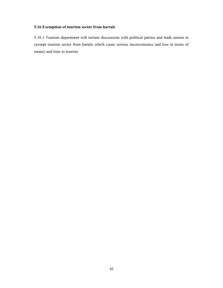### **5.16 Exemption of tourism sector from hartals**

5.16.1 Tourism department will initiate discussions with political parties and trade unions to exempt tourism sector from hartals which cause serious inconvenience and loss in terms of money and time to tourists.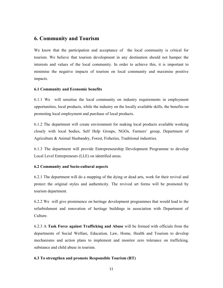## **6. Community and Tourism**

We know that the participation and acceptance of the local community is critical for tourism. We believe that tourism development in any destination should not hamper the interests and values of the local community. In order to achieve this, it is important to minimise the negative impacts of tourism on local community and maximise positive impacts.

#### **6.1 Community and Economic benefits**

6.1.1 We will sensitise the local community on industry requirements in employment opportunities, local products, while the industry on the locally available skills, the benefits on promoting local employment and purchase of local products.

6.1.2 The department will create environment for making local products available working closely with local bodies, Self Help Groups, NGOs, Farmers' group, Department of Agriculture & Animal Husbandry, Forest, Fisheries, Traditional industries.

6.1.3 The department will provide Entrepreneurship Development Programme to develop Local Level Entrepreneurs (LLE) on identified areas.

#### **6.2 Community and Socio-cultural aspects**

6.2.1 The department will do a mapping of the dying or dead arts, work for their revival and protect the original styles and authenticity. The revived art forms will be promoted by tourism department.

6.2.2 We will give prominence on heritage development programmes that would lead to the refurbishment and renovation of heritage buildings in association with Department of Culture.

6.2.3 A **Task Force against Trafficking and Abuse** will be formed with officials from the departments of Social Welfare, Education, Law, Home, Health and Tourism to develop mechanisms and action plans to implement and monitor zero tolerance on trafficking, substance and child abuse in tourism.

#### **6.3 To strengthen and promote Responsible Tourism (RT)**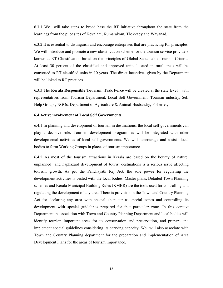6.3.1 We will take steps to broad base the RT initiative throughout the state from the learnings from the pilot sites of Kovalam, Kumarakom, Thekkady and Wayanad.

6.3.2 It is essential to distinguish and encourage enterprises that are practicing RT principles. We will introduce and promote a new classification scheme for the tourism service providers known as RT Classification based on the principles of Global Sustainable Tourism Criteria. At least 30 percent of the classified and approved units located in rural areas will be converted to RT classified units in 10 years. The direct incentives given by the Department will be linked to RT practices.

6.3.3 The **Kerala Responsible Tourism Task Force** will be created at the state level with representatives from Tourism Department, Local Self Government, Tourism industry, Self Help Groups, NGOs, Department of Agriculture & Animal Husbandry, Fisheries,

#### **6.4 Active involvement of Local Self Governments**

6.4.1 In planning and development of tourism in destinations, the local self governments can play a decisive role. Tourism development programmes will be integrated with other developmental activities of local self governments. We will encourage and assist local bodies to form Working Groups in places of tourism importance.

6.4.2 As most of the tourism attractions in Kerala are based on the bounty of nature, unplanned and haphazard development of tourist destinations is a serious issue affecting tourism growth. As per the Panchayath Raj Act, the sole power for regulating the development activities is vested with the local bodies. Master plans, Detailed Town Planning schemes and Kerala Municipal Building Rules (KMBR) are the tools used for controlling and regulating the development of any area. There is provision in the Town and Country Planning Act for declaring any area with special character as special zones and controlling its development with special guidelines prepared for that particular zone. In this context Department in association with Town and Country Planning Department and local bodies will identify tourism important areas for its conservation and preservation, and prepare and implement special guidelines considering its carrying capacity. We will also associate with Town and Country Planning department for the preparation and implementation of Area Development Plans for the areas of tourism importance.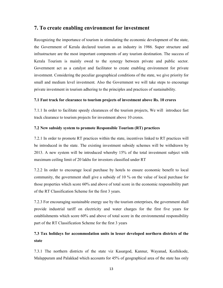## **7. To create enabling environment for investment**

Recognizing the importance of tourism in stimulating the economic development of the state, the Government of Kerala declared tourism as an industry in 1986. Super structure and infrastructure are the most important components of any tourism destination. The success of Kerala Tourism is mainly owed to the synergy between private and public sector. Government act as a catalyst and facilitator to create enabling environment for private investment. Considering the peculiar geographical conditions of the state, we give priority for small and medium level investment. Also the Government we will take steps to encourage private investment in tourism adhering to the principles and practices of sustainability.

#### **7.1 Fast track for clearance to tourism projects of investment above Rs. 10 crores**

7.1.1 In order to facilitate speedy clearances of the tourism projects, We will introduce fast track clearance to tourism projects for investment above 10 crores.

#### **7.2 New subsidy system to promote Responsible Tourism (RT) practices**

7.2.1 In order to promote RT practices within the state, incentives linked to RT practices will be introduced in the state. The existing investment subsidy schemes will be withdrawn by 2013. A new system will be introduced whereby 15% of the total investment subject with maximum ceiling limit of 20 lakhs for investors classified under RT

7.2.2 In order to encourage local purchase by hotels to ensure economic benefit to local community, the government shall give a subsidy of 10 % on the value of local purchase for those properties which score 60% and above of total score in the economic responsibility part of the RT Classification Scheme for the first 3 years.

7.2.3 For encouraging sustainable energy use by the tourism enterprises, the government shall provide industrial tariff on electricity and water charges for the first five years for establishments which score 60% and above of total score in the environmental responsibility part of the RT Classification Scheme for the first 3 years

## **7.3 Tax holidays for accommodation units in lesser developed northern districts of the state**

7.3.1 The northern districts of the state viz Kasargod, Kannur, Wayanad, Kozhikode, Malappuram and Palakkad which accounts for 45% of geographical area of the state has only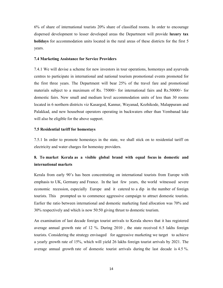6% of share of international tourists 20% share of classified rooms. In order to encourage dispersed development to lesser developed areas the Department will provide **luxury tax holidays** for accommodation units located in the rural areas of these districts for the first 5 years.

#### **7.4 Marketing Assistance for Service Providers**

7.4.1 We will devise a scheme for new investors in tour operations, homestays and ayurveda centres to participate in international and national tourism promotional events promoted for the first three years. The Department will bear 25% of the travel fare and promotional materials subject to a maximum of Rs. 75000/- for international fairs and Rs.50000/- for domestic fairs. New small and medium level accommodation units of less than 30 rooms located in 6 northern districts viz Kasargod, Kannur, Wayanad, Kozhikode, Malappuram and Palakkad, and new houseboat operators operating in backwaters other than Vembanad lake will also be eligible for the above support.

#### **7.5 Residential tariff for homestays**

7.5.1 In order to promote homestays in the state, we shall stick on to residential tariff on electricity and water charges for homestay providers.

## **8. To market Kerala as a visible global brand with equal focus in domestic and international markets**

Kerala from early 90's has been concentrating on international tourists from Europe with emphasis to UK, Germany and France. In the last few years, the world witnessed severe economic recession, especially Europe and it catered to a dip in the number of foreign tourists. This prompted us to commence aggressive campaign to attract domestic tourists. Earlier the ratio between international and domestic marketing fund allocation was 70% and 30% respectively and which is now 50:50 giving thrust to domestic tourism.

An examination of last decade foreign tourist arrivals to Kerala shows that it has registered average annual growth rate of 12 %. During 2010 , the state received 6.5 lakhs foreign tourists. Considering the strategy envisaged for aggressive marketing we target to achieve a yearly growth rate of 15%, which will yield 26 lakhs foreign tourist arrivals by 2021. The average annual growth rate of domestic tourist arrivals during the last decade is 4.5 %.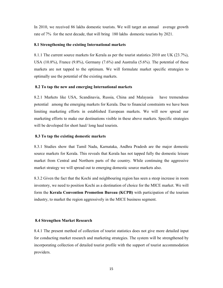In 2010, we received 86 lakhs domestic tourists. We will target an annual average growth rate of 7% for the next decade, that will bring 180 lakhs domestic tourists by 2021.

#### **8.1 Strengthening the existing International markets**

8.1.1 The current source markets for Kerala as per the tourist statistics 2010 are UK (23.7%), USA (10.8%), France (9.8%), Germany (7.6%) and Australia (5.6%). The potential of these markets are not tapped to the optimum. We will formulate market specific strategies to optimally use the potential of the existing markets.

#### **8.2 To tap the new and emerging International markets**

8.2.1 Markets like USA, Scandinavia, Russia, China and Malayasia have tremendous potential among the emerging markets for Kerala. Due to financial constraints we have been limiting marketing efforts in established European markets. We will now spread our marketing efforts to make our destinations visible in these above markets. Specific strategies will be developed for short haul/ long haul tourists.

#### **8.3 To tap the existing domestic markets**

8.3.1 Studies show that Tamil Nadu, Karnataka, Andhra Pradesh are the major domestic source markets for Kerala. This reveals that Kerala has not tapped fully the domestic leisure market from Central and Northern parts of the country. While continuing the aggressive market strategy we will spread out to emerging domestic source markets also.

8.3.2 Given the fact that the Kochi and neighbouring region has seen a steep increase in room inventory, we need to position Kochi as a destination of choice for the MICE market. We will form the **Kerala Convention Promotion Bureau (KCPB)** with participation of the tourism industry, to market the region aggressively in the MICE business segment.

#### **8.4 Strengthen Market Research**

8.4.1 The present method of collection of tourist statistics does not give more detailed input for conducting market research and marketing strategies. The system will be strengthened by incorporating collection of detailed tourist profile with the support of tourist accommodation providers.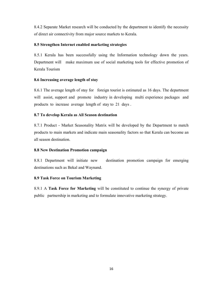8.4.2 Separate Market research will be conducted by the department to identify the necessity of direct air connectivity from major source markets to Kerala.

#### **8.5 Strengthen Internet enabled marketing strategies**

8.5.1 Kerala has been successfully using the Information technology down the years. Department will make maximum use of social marketing tools for effective promotion of Kerala Tourism

#### **8.6 Increasing average length of stay**

8.6.1 The average length of stay for foreign tourist is estimated as 16 days. The department will assist, support and promote industry in developing multi experience packages and products to increase average length of stay to 21 days .

#### **8.7 To develop Kerala as All Season destination**

8.7.1 Product - Market Seasonality Matrix will be developed by the Department to match products to main markets and indicate main seasonality factors so that Kerala can become an all season destination.

#### **8.8 New Destination Promotion campaign**

8.8.1 Department will initiate new destination promotion campaign for emerging destinations such as Bekal and Waynand.

#### **8.9 Task Force on Tourism Marketing**

8.9.1 A **Task Force for Marketing** will be constituted to continue the synergy of private public partnership in marketing and to formulate innovative marketing strategy.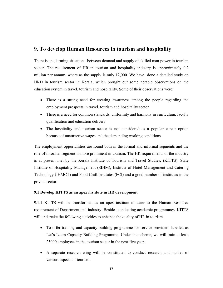## **9. To develop Human Resources in tourism and hospitality**

There is an alarming situation between demand and supply of skilled man power in tourism sector. The requirement of HR in tourism and hospitality industry is approximately 0.2 million per annum, where as the supply is only 12,000. We have done a detailed study on HRD in tourism sector in Kerala, which brought out some notable observations on the education system in travel, tourism and hospitality. Some of their observations were:

- There is a strong need for creating awareness among the people regarding the employment prospects in travel, tourism and hospitality sector
- There is a need for common standards, uniformity and harmony in curriculum, faculty qualification and education delivery
- The hospitality and tourism sector is not considered as a popular career option because of unattractive wages and the demanding working conditions

The employment opportunities are found both in the formal and informal segments and the role of informal segment is more prominent in tourism. The HR requirements of the industry is at present met by the Kerala Institute of Tourism and Travel Studies, (KITTS), State Institute of Hospitality Management (SIHM), Institute of Hotel Management and Catering Technology (IHMCT) and Food Craft institutes (FCI) and a good number of institutes in the private sector.

#### **9.1 Develop KITTS as an apex institute in HR development**

9.1.1 KITTS will be transformed as an apex institute to cater to the Human Resource requirement of Department and industry. Besides conducting academic programmes, KITTS will undertake the following activities to enhance the quality of HR in tourism.

- To offer training and capacity building programme for service providers labelled as Let's Learn Capacity Building Programme. Under the scheme, we will train at least 25000 employees in the tourism sector in the next five years.
- A separate research wing will be constituted to conduct research and studies of various aspects of tourism.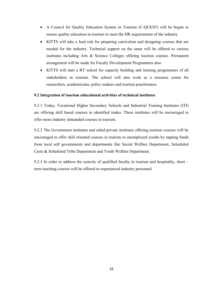- A Council for Quality Education System in Tourism (C-QUEST) will be begun to ensure quality education in tourism to meet the HR requirements of the industry
- KITTS will take a lead role for preparing curriculum and designing courses that are needed for the industry. Technical support on the same will be offered to various institutes including Arts & Science Colleges offering tourism courses. Permanent arrangement will be made for Faculty Development Programmes also.
- KITTS will start a RT school for capacity building and training programmes of all stakeholders in tourism. The school will also work as a resource centre for researchers, academicians, policy makers and tourism practitioners.

#### **9.2 Integration of tourism educational activities of technical institutes**

9.2.1 Today, Vocational Higher Secondary Schools and Industrial Training Institutes (ITI) are offering skill based courses in identified trades. These institutes will be encouraged to offer more industry demanded courses in tourism.

9.2.2 The Government institutes and aided private institutes offering tourism courses will be encouraged to offer skill oriented courses in tourism to unemployed youths by tapping funds from local self governments and departments like Social Welfare Department, Scheduled Caste & Scheduled Tribe Department and Youth Welfare Department.

9.2.3 In order to address the scarcity of qualified faculty in tourism and hospitality, short – term teaching courses will be offered to experienced industry personnel.